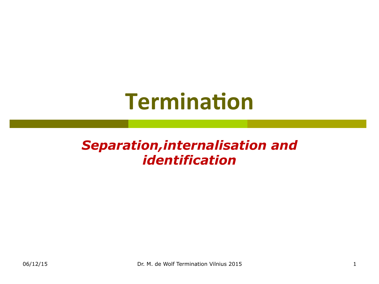# **Termination**

### *Separation,internalisation and identification*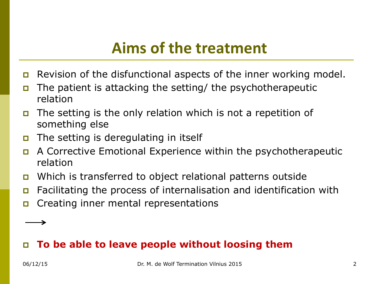### **Aims of the treatment**

- p Revision of the disfunctional aspects of the inner working model.
- p The patient is attacking the setting/ the psychotherapeutic relation
- p The setting is the only relation which is not a repetition of something else
- **p** The setting is deregulating in itself
- p A Corrective Emotional Experience within the psychotherapeutic relation
- p Which is transferred to object relational patterns outside
- p Facilitating the process of internalisation and identification with
- p Creating inner mental representations

### p **To be able to leave people without loosing them**

→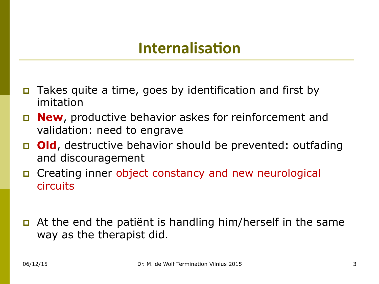### **Internalisation**

- p Takes quite a time, goes by identification and first by imitation
- p **New**, productive behavior askes for reinforcement and validation: need to engrave
- p **Old**, destructive behavior should be prevented: outfading and discouragement
- p Creating inner object constancy and new neurological circuits
- **p** At the end the patient is handling him/herself in the same way as the therapist did.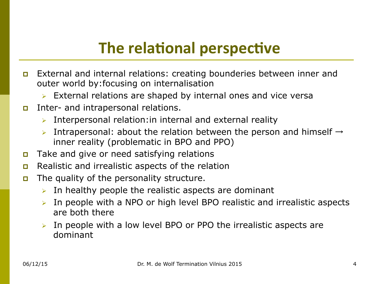# **The relational perspective**

- p External and internal relations: creating bounderies between inner and outer world by:focusing on internalisation
	- $\triangleright$  External relations are shaped by internal ones and vice versa
- **p** Inter- and intrapersonal relations.
	- $\triangleright$  Interpersonal relation: in internal and external reality
	- $\triangleright$  Intrapersonal: about the relation between the person and himself  $\rightarrow$ inner reality (problematic in BPO and PPO)
- **p** Take and give or need satisfying relations
- **p** Realistic and irrealistic aspects of the relation
- **p** The quality of the personality structure.
	- In healthy people the realistic aspects are dominant
	- $\triangleright$  In people with a NPO or high level BPO realistic and irrealistic aspects are both there
	- In people with a low level BPO or PPO the irrealistic aspects are dominant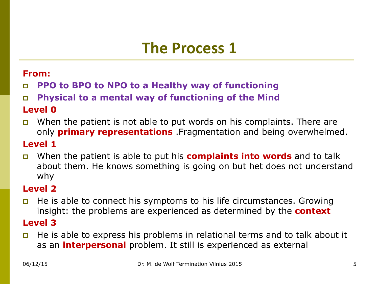### **The Process 1**

#### **From:**

p **PPO to BPO to NPO to a Healthy way of functioning** 

p **Physical to a mental way of functioning of the Mind** 

#### **Level 0**

p When the patient is not able to put words on his complaints. There are only **primary representations** .Fragmentation and being overwhelmed.

#### **Level 1**

p When the patient is able to put his **complaints into words** and to talk about them. He knows something is going on but het does not understand why

#### **Level 2**

p He is able to connect his symptoms to his life circumstances. Growing insight: the problems are experienced as determined by the **context** 

#### **Level 3**

**p** He is able to express his problems in relational terms and to talk about it as an **interpersonal** problem. It still is experienced as external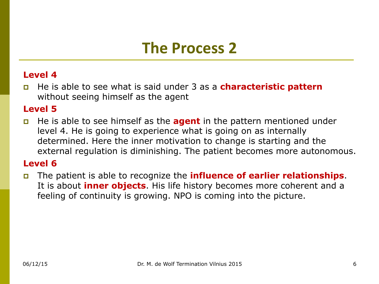### **The Process 2**

#### **Level 4**

p He is able to see what is said under 3 as a **characteristic pattern**  without seeing himself as the agent

#### **Level 5**

p He is able to see himself as the **agent** in the pattern mentioned under level 4. He is going to experience what is going on as internally determined. Here the inner motivation to change is starting and the external regulation is diminishing. The patient becomes more autonomous.

#### **Level 6**

p The patient is able to recognize the **influence of earlier relationships**. It is about **inner objects**. His life history becomes more coherent and a feeling of continuity is growing. NPO is coming into the picture.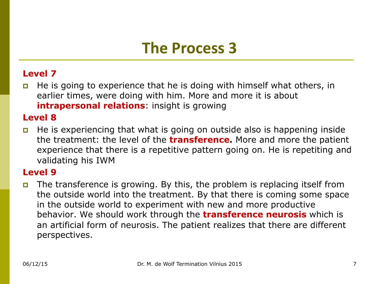### **The Process 3**

#### **Level 7**

p He is going to experience that he is doing with himself what others, in earlier times, were doing with him. More and more it is about **intrapersonal relations**: insight is growing

#### **Level 8**

**p** He is experiencing that what is going on outside also is happening inside the treatment: the level of the **transference.** More and more the patient experience that there is a repetitive pattern going on. He is repetiting and validating his IWM

#### **Level 9**

**p** The transference is growing. By this, the problem is replacing itself from the outside world into the treatment. By that there is coming some space in the outside world to experiment with new and more productive behavior. We should work through the **transference neurosis** which is an artificial form of neurosis. The patient realizes that there are different perspectives.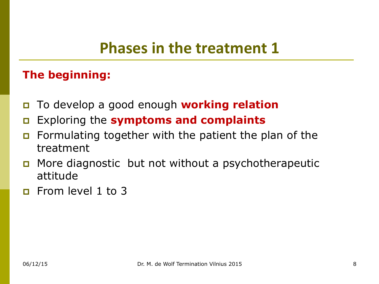### **Phases in the treatment 1**

### **The beginning:**

- p To develop a good enough **working relation**
- p Exploring the **symptoms and complaints**
- **p** Formulating together with the patient the plan of the treatment
- p More diagnostic but not without a psychotherapeutic attitude
- **p** From level 1 to 3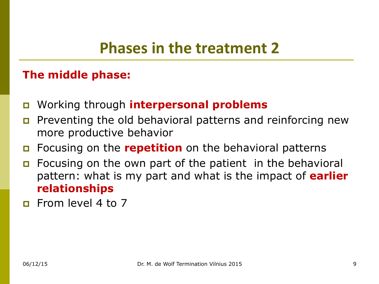### **Phases in the treatment 2**

### **The middle phase:**

- p Working through **interpersonal problems**
- **p** Preventing the old behavioral patterns and reinforcing new more productive behavior
- p Focusing on the **repetition** on the behavioral patterns
- **p** Focusing on the own part of the patient in the behavioral pattern: what is my part and what is the impact of **earlier relationships**
- **p** From level 4 to 7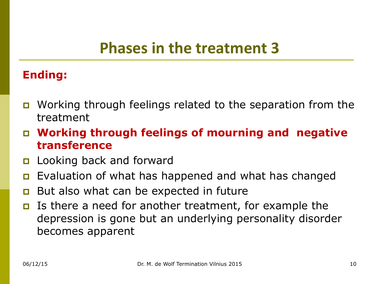### **Phases in the treatment 3**

### **Ending:**

- p Working through feelings related to the separation from the treatment
- p **Working through feelings of mourning and negative transference**
- **p** Looking back and forward
- **p** Evaluation of what has happened and what has changed
- **p** But also what can be expected in future
- p Is there a need for another treatment, for example the depression is gone but an underlying personality disorder becomes apparent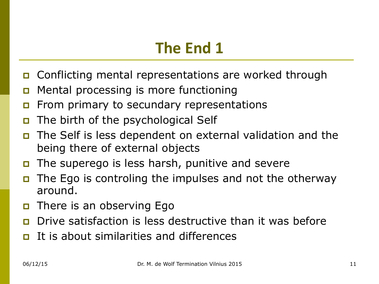- p Conflicting mental representations are worked through
- p Mental processing is more functioning
- **p** From primary to secundary representations
- **p** The birth of the psychological Self
- The Self is less dependent on external validation and the being there of external objects
- p The superego is less harsh, punitive and severe
- The Ego is controling the impulses and not the otherway around.
- **p** There is an observing Ego
- p Drive satisfaction is less destructive than it was before
- It is about similarities and differences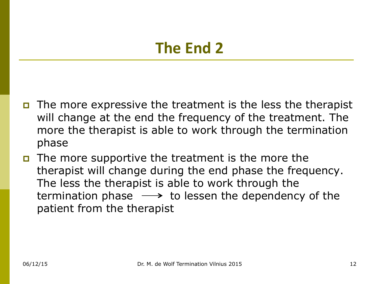- p The more expressive the treatment is the less the therapist will change at the end the frequency of the treatment. The more the therapist is able to work through the termination phase
- p The more supportive the treatment is the more the therapist will change during the end phase the frequency. The less the therapist is able to work through the termination phase  $\longrightarrow$  to lessen the dependency of the patient from the therapist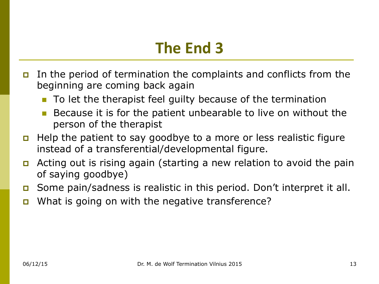- p In the period of termination the complaints and conflicts from the beginning are coming back again
	- $\blacksquare$  To let the therapist feel guilty because of the termination
	- $\blacksquare$  Because it is for the patient unbearable to live on without the person of the therapist
- p Help the patient to say goodbye to a more or less realistic figure instead of a transferential/developmental figure.
- p Acting out is rising again (starting a new relation to avoid the pain of saying goodbye)
- p Some pain/sadness is realistic in this period. Don't interpret it all.
- **p** What is going on with the negative transference?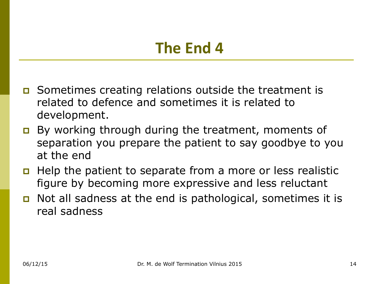- **p** Sometimes creating relations outside the treatment is related to defence and sometimes it is related to development.
- **p** By working through during the treatment, moments of separation you prepare the patient to say goodbye to you at the end
- **p** Help the patient to separate from a more or less realistic figure by becoming more expressive and less reluctant
- **p** Not all sadness at the end is pathological, sometimes it is real sadness